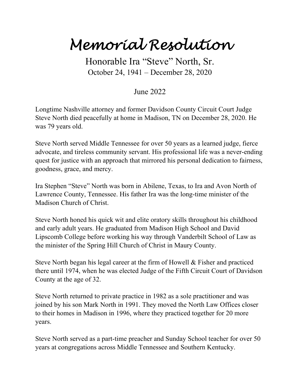## *Memorial Resolution*

Honorable Ira "Steve" North, Sr. October 24, 1941 – December 28, 2020

## June 2022

Longtime Nashville attorney and former Davidson County Circuit Court Judge Steve North died peacefully at home in Madison, TN on December 28, 2020. He was 79 years old.

Steve North served Middle Tennessee for over 50 years as a learned judge, fierce advocate, and tireless community servant. His professional life was a never-ending quest for justice with an approach that mirrored his personal dedication to fairness, goodness, grace, and mercy.

Ira Stephen "Steve" North was born in Abilene, Texas, to Ira and Avon North of Lawrence County, Tennessee. His father Ira was the long-time minister of the Madison Church of Christ.

Steve North honed his quick wit and elite oratory skills throughout his childhood and early adult years. He graduated from Madison High School and David Lipscomb College before working his way through Vanderbilt School of Law as the minister of the Spring Hill Church of Christ in Maury County.

Steve North began his legal career at the firm of Howell & Fisher and practiced there until 1974, when he was elected Judge of the Fifth Circuit Court of Davidson County at the age of 32.

Steve North returned to private practice in 1982 as a sole practitioner and was joined by his son Mark North in 1991. They moved the North Law Offices closer to their homes in Madison in 1996, where they practiced together for 20 more years.

Steve North served as a part-time preacher and Sunday School teacher for over 50 years at congregations across Middle Tennessee and Southern Kentucky.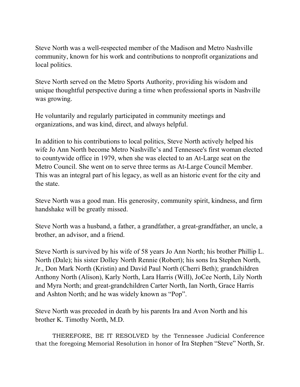Steve North was a well-respected member of the Madison and Metro Nashville community, known for his work and contributions to nonprofit organizations and local politics.

Steve North served on the Metro Sports Authority, providing his wisdom and unique thoughtful perspective during a time when professional sports in Nashville was growing.

He voluntarily and regularly participated in community meetings and organizations, and was kind, direct, and always helpful.

In addition to his contributions to local politics, Steve North actively helped his wife Jo Ann North become Metro Nashville's and Tennessee's first woman elected to countywide office in 1979, when she was elected to an At-Large seat on the Metro Council. She went on to serve three terms as At-Large Council Member. This was an integral part of his legacy, as well as an historic event for the city and the state.

Steve North was a good man. His generosity, community spirit, kindness, and firm handshake will be greatly missed.

Steve North was a husband, a father, a grandfather, a great-grandfather, an uncle, a brother, an advisor, and a friend.

Steve North is survived by his wife of 58 years Jo Ann North; his brother Phillip L. North (Dale); his sister Dolley North Rennie (Robert); his sons Ira Stephen North, Jr., Don Mark North (Kristin) and David Paul North (Cherri Beth); grandchildren Anthony North (Alison), Karly North, Lara Harris (Will), JoCee North, Lily North and Myra North; and great-grandchildren Carter North, Ian North, Grace Harris and Ashton North; and he was widely known as "Pop".

Steve North was preceded in death by his parents Ira and Avon North and his brother K. Timothy North, M.D.

THEREFORE, BE IT RESOLVED by the Tennessee Judicial Conference that the foregoing Memorial Resolution in honor of Ira Stephen "Steve" North, Sr.